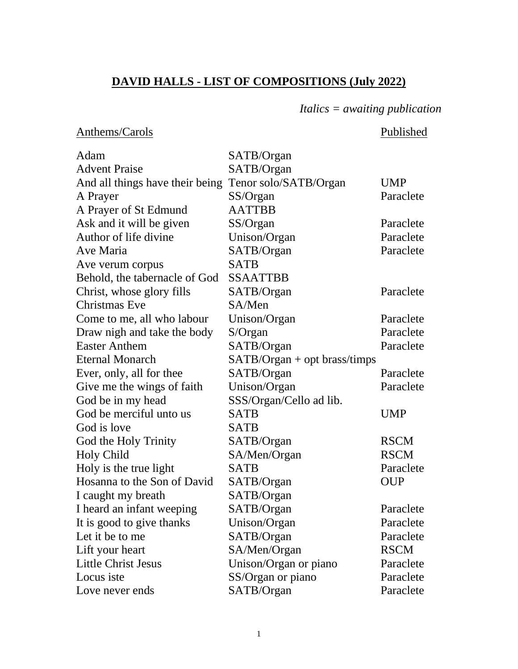## **DAVID HALLS - LIST OF COMPOSITIONS (July 2022)**

### *Italics = awaiting publication*

### Anthems/Carols Published

| Adam                            | SATB/Organ                    |             |
|---------------------------------|-------------------------------|-------------|
| <b>Advent Praise</b>            | SATB/Organ                    |             |
| And all things have their being | Tenor solo/SATB/Organ         | <b>UMP</b>  |
| A Prayer                        | SS/Organ                      | Paraclete   |
| A Prayer of St Edmund           | <b>AATTBB</b>                 |             |
| Ask and it will be given        | SS/Organ                      | Paraclete   |
| Author of life divine           | Unison/Organ                  | Paraclete   |
| Ave Maria                       | SATB/Organ                    | Paraclete   |
| Ave verum corpus                | <b>SATB</b>                   |             |
| Behold, the tabernacle of God   | <b>SSAATTBB</b>               |             |
| Christ, whose glory fills       | SATB/Organ                    | Paraclete   |
| <b>Christmas Eve</b>            | SA/Men                        |             |
| Come to me, all who labour      | Unison/Organ                  | Paraclete   |
| Draw nigh and take the body     | $S/O$ rgan                    | Paraclete   |
| <b>Easter Anthem</b>            | SATB/Organ                    | Paraclete   |
| <b>Eternal Monarch</b>          | $SATB/Organ + opt brass/tiny$ |             |
| Ever, only, all for thee        | SATB/Organ                    | Paraclete   |
| Give me the wings of faith      | Unison/Organ                  | Paraclete   |
| God be in my head               | SSS/Organ/Cello ad lib.       |             |
| God be merciful unto us         | <b>SATB</b>                   | <b>UMP</b>  |
| God is love                     | <b>SATB</b>                   |             |
| God the Holy Trinity            | SATB/Organ                    | <b>RSCM</b> |
| <b>Holy Child</b>               | SA/Men/Organ                  | <b>RSCM</b> |
| Holy is the true light          | <b>SATB</b>                   | Paraclete   |
| Hosanna to the Son of David     | SATB/Organ                    | <b>OUP</b>  |
| I caught my breath              | SATB/Organ                    |             |
| I heard an infant weeping       | SATB/Organ                    | Paraclete   |
| It is good to give thanks       | Unison/Organ                  | Paraclete   |
| Let it be to me                 | SATB/Organ                    | Paraclete   |
| Lift your heart                 | SA/Men/Organ                  | <b>RSCM</b> |
| <b>Little Christ Jesus</b>      | Unison/Organ or piano         | Paraclete   |
| Locus iste                      | SS/Organ or piano             | Paraclete   |
| Love never ends                 | SATB/Organ                    | Paraclete   |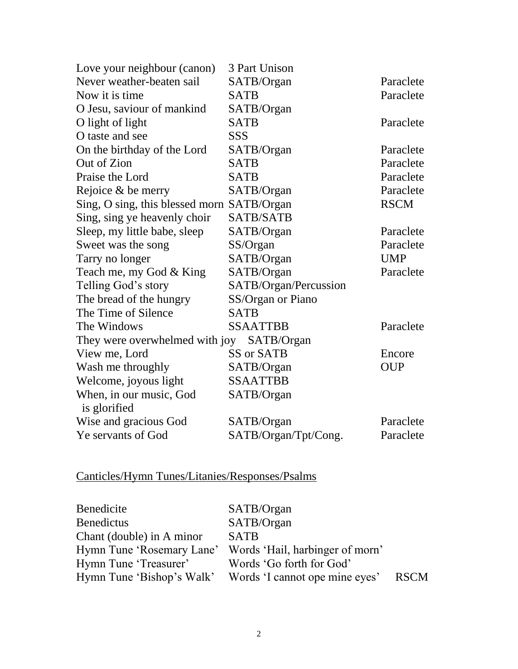| 3 Part Unison                                |             |
|----------------------------------------------|-------------|
| SATB/Organ                                   | Paraclete   |
| <b>SATB</b>                                  | Paraclete   |
| SATB/Organ                                   |             |
| <b>SATB</b>                                  | Paraclete   |
| <b>SSS</b>                                   |             |
| SATB/Organ                                   | Paraclete   |
| <b>SATB</b>                                  | Paraclete   |
| <b>SATB</b>                                  | Paraclete   |
| SATB/Organ                                   | Paraclete   |
| Sing, O sing, this blessed morn SATB/Organ   | <b>RSCM</b> |
| <b>SATB/SATB</b>                             |             |
| SATB/Organ                                   | Paraclete   |
| SS/Organ                                     | Paraclete   |
| SATB/Organ                                   | <b>UMP</b>  |
| SATB/Organ                                   | Paraclete   |
| SATB/Organ/Percussion                        |             |
| SS/Organ or Piano                            |             |
| <b>SATB</b>                                  |             |
| <b>SSAATTBB</b>                              | Paraclete   |
| They were overwhelmed with joy<br>SATB/Organ |             |
| SS or SATB                                   | Encore      |
| SATB/Organ                                   | <b>OUP</b>  |
| <b>SSAATTBB</b>                              |             |
| SATB/Organ                                   |             |
|                                              |             |
| SATB/Organ                                   | Paraclete   |
| SATB/Organ/Tpt/Cong.                         | Paraclete   |
|                                              |             |

# Canticles/Hymn Tunes/Litanies/Responses/Psalms

| <b>Benedicite</b>         | SATB/Organ                                                |             |
|---------------------------|-----------------------------------------------------------|-------------|
| <b>Benedictus</b>         | SATB/Organ                                                |             |
| Chant (double) in A minor | <b>SATB</b>                                               |             |
|                           | Hymn Tune 'Rosemary Lane' Words 'Hail, harbinger of morn' |             |
| Hymn Tune 'Treasurer'     | Words 'Go forth for God'                                  |             |
|                           | Hymn Tune 'Bishop's Walk' Words 'I cannot ope mine eyes'  | <b>RSCM</b> |
|                           |                                                           |             |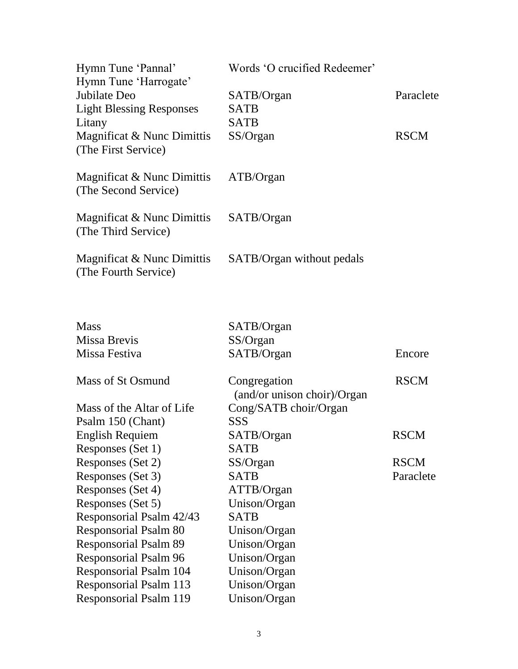| Hymn Tune 'Pannal'<br>Hymn Tune 'Harrogate'                    | Words 'O crucified Redeemer'                |             |
|----------------------------------------------------------------|---------------------------------------------|-------------|
| Jubilate Deo<br><b>Light Blessing Responses</b><br>Litany      | SATB/Organ<br><b>SATB</b><br><b>SATB</b>    | Paraclete   |
| Magnificat & Nunc Dimittis<br>(The First Service)              | SS/Organ                                    | <b>RSCM</b> |
| Magnificat & Nunc Dimittis<br>(The Second Service)             | ATB/Organ                                   |             |
| Magnificat & Nunc Dimittis<br>(The Third Service)              | SATB/Organ                                  |             |
| Magnificat & Nunc Dimittis<br>(The Fourth Service)             | SATB/Organ without pedals                   |             |
| <b>Mass</b>                                                    | SATB/Organ                                  |             |
| Missa Brevis                                                   | SS/Organ                                    |             |
| Missa Festiva                                                  | SATB/Organ                                  | Encore      |
| Mass of St Osmund                                              | Congregation<br>(and/or unison choir)/Organ | <b>RSCM</b> |
| Mass of the Altar of Life                                      | Cong/SATB choir/Organ                       |             |
| Psalm 150 (Chant)                                              | <b>SSS</b>                                  |             |
| <b>English Requiem</b>                                         | SATB/Organ                                  | <b>RSCM</b> |
| Responses (Set 1)                                              | <b>SATB</b>                                 |             |
| Responses (Set 2)                                              | SS/Organ                                    | <b>RSCM</b> |
| Responses (Set 3)                                              | <b>SATB</b>                                 | Paraclete   |
| Responses (Set 4)                                              | ATTB/Organ                                  |             |
| Responses (Set 5)                                              | Unison/Organ                                |             |
| Responsorial Psalm 42/43                                       | <b>SATB</b>                                 |             |
| <b>Responsorial Psalm 80</b>                                   | Unison/Organ                                |             |
| <b>Responsorial Psalm 89</b>                                   | Unison/Organ                                |             |
| <b>Responsorial Psalm 96</b>                                   | Unison/Organ                                |             |
| <b>Responsorial Psalm 104</b><br><b>Responsorial Psalm 113</b> | Unison/Organ<br>Unison/Organ                |             |
| <b>Responsorial Psalm 119</b>                                  | Unison/Organ                                |             |
|                                                                |                                             |             |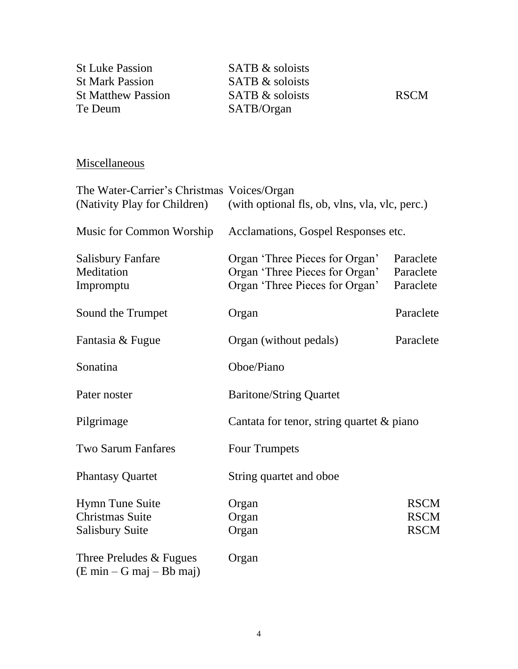| <b>St Luke Passion</b>                     | SATB & soloists                                                             |             |
|--------------------------------------------|-----------------------------------------------------------------------------|-------------|
| <b>St Mark Passion</b>                     | <b>SATB</b> & soloists                                                      |             |
| <b>St Matthew Passion</b>                  | <b>SATB &amp; soloists</b>                                                  | <b>RSCM</b> |
| Te Deum                                    | SATB/Organ                                                                  |             |
|                                            |                                                                             |             |
| Miscellaneous                              |                                                                             |             |
| The Water-Carrier's Christmas Voices/Organ |                                                                             |             |
|                                            | (Nativity Play for Children) (with optional fls, ob, vlns, vla, vlc, perc.) |             |
|                                            | Music for Common Worship Acclamations, Gospel Responses etc.                |             |
| <b>Salisbury Fanfare</b>                   | Organ 'Three Pieces for Organ'                                              | Paraclete   |

Meditation **Organ** 'Three Pieces for Organ' Paraclete Impromptu Organ 'Three Pieces for Organ' Paraclete

Sound the Trumpet Cream Cream Paraclete

Fantasia & Fugue **Organ** (without pedals) Paraclete

Pilgrimage Cantata for tenor, string quartet & piano

Sonatina Oboe/Piano

Two Sarum Fanfares Four Trumpets

Three Preludes & Fugues Organ

(E min – G maj – Bb maj)

Pater noster Baritone/String Quartet

Phantasy Quartet String quartet and oboe

Hymn Tune Suite Organ RSCM Christmas Suite Organ RSCM Salisbury Suite Organ RSCM